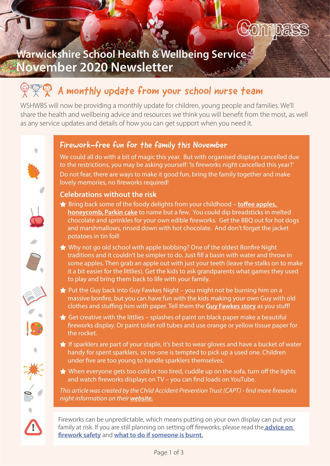

## Warwickshire School Health & Wellbeing Service November 2020 Newsletter

# $\circledcirc$   $\circledcirc$  A monthly update from your school nurse team

WSHWBS will now be providing a monthly update for children, young people and families. We'll share the health and wellbeing advice and resources we think you will benefit from the most, as well as any service updates and details of how you can get support when you need it.

## Firework-free fun for the family this November

We could all do with a bit of magic this year. But with organised displays cancelled due to the restrictions, you may be asking yourself: 'Is fireworks night cancelled this year?' Do not fear, there are ways to make it good fun, bring the family together and make lovely memories, no fireworks required!

#### Celebrations without the risk

- $\bigstar$  Bring back some of the foody delights from your childhood toffee apples, [honeycomb, Parkin cake](https://cutt.ly/bgTJSbl) to name but a few. You could dip breadsticks in melted chocolate and sprinkles for your own edible fireworks. Get the BBQ out for hot dogs and marshmallows, rinsed down with hot chocolate. And don't forget the jacket potatoes in tin foil!
- $\bigstar$  Why not go old school with apple bobbing? One of the oldest Bonfire Night traditions and it couldn't be simpler to do. Just fill a basin with water and throw in some apples. Then grab an apple out with just your teeth (leave the stalks on to make it a bit easier for the littlies). Get the kids to ask grandparents what games they used to play and bring them back to life with your family.
- $\bigstar$  Put the Guy back into Guy Fawkes Night you might not be burning him on a massive bonfire, but you can have fun with the kids making your own Guy with old clothes and stuffing him with paper. Tell them the **Guy Fawkes story** as you stuff!
- $\bigstar$  Get creative with the littlies splashes of paint on black paper make a beautiful fireworks display. Or paint toilet roll tubes and use orange or yellow tissue paper for the rocket.
- $\bigstar$  If sparklers are part of your staple, it's best to wear gloves and have a bucket of water handy for spent sparklers, so no-one is tempted to pick up a used one. Children under five are too young to handle sparklers themselves.
- $\bigstar$  When everyone gets too cold or too tired, cuddle up on the sofa, turn off the lights and watch fireworks displays on TV – you can find loads on YouTube.

*This article was created by the Child Accident Prevention Trust (CAPT) - find more fireworks night information on their [website.](https://www.capt.org.uk/News/going-it-alone-this-fireworks-night)*

Fireworks can be unpredictable, which means putting on your own display can put your family at risk. If you are still planning on setting off fireworks, please read the **advice on** [firework safety](https://www.capt.org.uk/News/pandemic-fireworks) and [what to do if someone is burnt.](https://www.capt.org.uk/GetImage.aspx?IDMF=6790eb70-5486-4d83-ae4a-16af67ff198b&w=644&h=295&src=mc)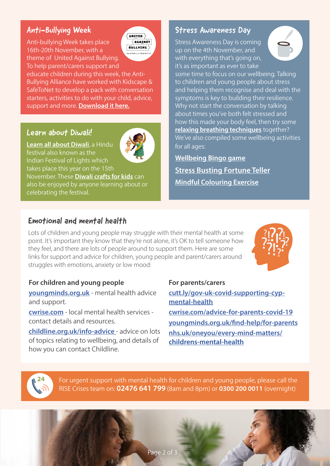## Anti-Bullying Week

Anti-bullying Week takes place 16th-20th November, with a theme of United Against Bullying. To help parent/carers support and



educate children during this week, the Anti-Bullying Alliance have worked with Kidscape & SafeToNet to develop a pack with conversation starters, activities to do with your child, advice, support and more. **[Download it here.](https://cutt.ly/anti-bullying-pack)** 

#### Learn about Diwali!

[Learn all about Diwali,](https://www.bbc.co.uk/newsround/15451833) a Hindu festival also known as the

Indian Festival of Lights which takes place this year on the 15th

November. These [Diwali crafts for kids](https://cutt.ly/AgTKc9d) can also be enjoyed by anyone learning about or celebrating the festival.

#### Stress Awareness Day

Stress Awareness Day is coming up on the 4th November, and with everything that's going on, it's as important as ever to take



some time to focus on our wellbeing. Talking to children and young people about stress and helping them recognise and deal with the symptoms is key to building their resilience. Why not start the conversation by talking about times you've both felt stressed and how this made your body feel, then try some [relaxing breathing techniques](https://www.nhs.uk/conditions/stress-anxiety-depression/ways-relieve-stress/) together? We've also compiled some wellbeing activities for all ages:

[Wellbeing Bingo game](https://youngminds.org.uk/media/2913/wellbeing-bingo.pdf) Stress Bustin[g Fortune Teller](https://cdn.memiah.co.uk/blog/wp-content/uploads/counselling-directory.org.uk/2018/04/Stress-Activity_PRINT.pdf) [Mindful Colouring Exercise](https://cdn.memiah.co.uk/blog/wp-content/uploads/counselling-directory.org.uk/2017/09/MindfulColouring_Bookmarks_HappifulKids.jpg)

### Emotional and mental health

Lots of children and young people may struggle with their mental health at some point. It's important they know that they're not alone, it's OK to tell someone how they feel, and there are lots of people around to support them. Here are some links for support and advice for children, young people and parent/carers around struggles with emotions, anxiety or low mood:



#### For children and young people

[youngminds.org.uk](https://youngminds.org.uk) - mental health advice and support.

[cwrise.com](https://cwrise.com) - local mental health services contact details and resources.

[childline.org.uk/info-advice](https://www.childline.org.uk/info-advice/) - advice on lots of topics relating to wellbeing, and details of how you can contact Childline.

#### For parents/carers

[cutt.ly/gov-uk-covid-supporting-cyp](https://cutt.ly/gov-uk-covid-supporting-cyp-mental-health)[mental-health](https://cutt.ly/gov-uk-covid-supporting-cyp-mental-health) [cwrise.com/advice-for-parents-covid-19](https://cwrise.com/advice-for-parents-covid-19/) [youngminds.org.uk/find-help/for-parents](https://youngminds.org.uk/find-help/for-parents/) [nhs.uk/oneyou/every-mind-matters/](https://www.nhs.uk/oneyou/every-mind-matters/childrens-mental-health/) [childrens-mental-health](https://www.nhs.uk/oneyou/every-mind-matters/childrens-mental-health/)



For urgent support with mental health for children and young people, please call the RISE Crises team on: **02476 641 799** (8am and 8pm) or **0300 200 0011** (overnight)